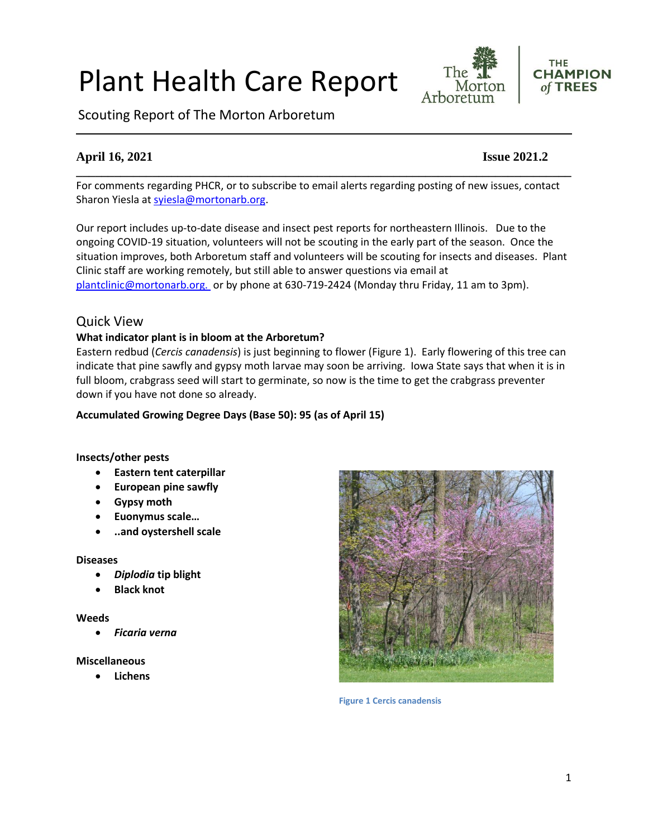# Plant Health Care Report

Scouting Report of The Morton Arboretum

# **April 16, 2021 Issue 2021.2**

For comments regarding PHCR, or to subscribe to email alerts regarding posting of new issues, contact Sharon Yiesla at [syiesla@mortonarb.org.](mailto:syiesla@mortonarb.org)

**\_\_\_\_\_\_\_\_\_\_\_\_\_\_\_\_\_\_\_\_\_\_\_\_\_\_\_\_\_\_\_\_\_\_\_\_\_\_\_\_\_\_\_\_\_\_\_\_\_\_\_\_\_\_\_\_\_\_\_\_\_\_\_\_\_\_\_\_\_\_\_\_\_\_\_\_\_\_**

Our report includes up-to-date disease and insect pest reports for northeastern Illinois. Due to the ongoing COVID-19 situation, volunteers will not be scouting in the early part of the season. Once the situation improves, both Arboretum staff and volunteers will be scouting for insects and diseases. Plant Clinic staff are working remotely, but still able to answer questions via email at [plantclinic@mortonarb.org.](mailto:plantclinic@mortonarb.org) or by phone at 630-719-2424 (Monday thru Friday, 11 am to 3pm).

# Quick View

#### **What indicator plant is in bloom at the Arboretum?**

Eastern redbud (*Cercis canadensis*) is just beginning to flower (Figure 1). Early flowering of this tree can indicate that pine sawfly and gypsy moth larvae may soon be arriving. Iowa State says that when it is in full bloom, crabgrass seed will start to germinate, so now is the time to get the crabgrass preventer down if you have not done so already.

#### **Accumulated Growing Degree Days (Base 50): 95 (as of April 15)**

#### **Insects/other pests**

- **Eastern tent caterpillar**
- **European pine sawfly**
- **Gypsy moth**
- **Euonymus scale…**
- **..and oystershell scale**

#### **Diseases**

- *Diplodia* **tip blight**
- **Black knot**

#### **Weeds**

• *Ficaria verna*

#### **Miscellaneous**

• **Lichens**



**Figure 1 Cercis canadensis**



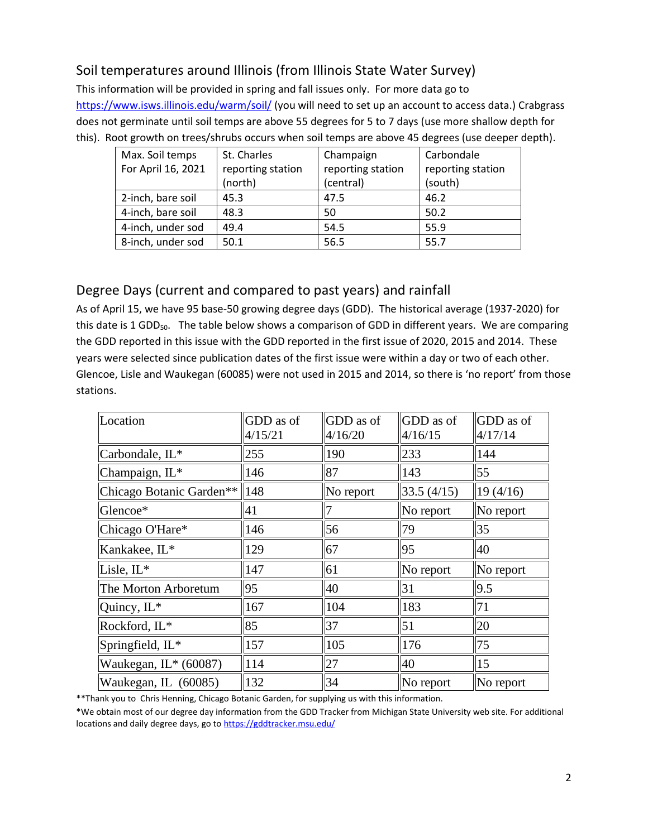# Soil temperatures around Illinois (from Illinois State Water Survey)

This information will be provided in spring and fall issues only. For more data go to <https://www.isws.illinois.edu/warm/soil/> (you will need to set up an account to access data.) Crabgrass does not germinate until soil temps are above 55 degrees for 5 to 7 days (use more shallow depth for this). Root growth on trees/shrubs occurs when soil temps are above 45 degrees (use deeper depth).

| Max. Soil temps    | St. Charles       | Champaign         | Carbondale        |
|--------------------|-------------------|-------------------|-------------------|
| For April 16, 2021 | reporting station | reporting station | reporting station |
|                    | (north)           | (central)         | (south)           |
| 2-inch, bare soil  | 45.3              | 47.5              | 46.2              |
| 4-inch, bare soil  | 48.3              | 50                | 50.2              |
| 4-inch, under sod  | 49.4              | 54.5              | 55.9              |
| 8-inch, under sod  | 50.1              | 56.5              | 55.7              |

# Degree Days (current and compared to past years) and rainfall

As of April 15, we have 95 base-50 growing degree days (GDD). The historical average (1937-2020) for this date is 1 GDD<sub>50</sub>. The table below shows a comparison of GDD in different years. We are comparing the GDD reported in this issue with the GDD reported in the first issue of 2020, 2015 and 2014. These years were selected since publication dates of the first issue were within a day or two of each other. Glencoe, Lisle and Waukegan (60085) were not used in 2015 and 2014, so there is 'no report' from those stations.

| Location                 | GDD as of<br>4/15/21 | GDD as of<br>4/16/20 | GDD as of<br>4/16/15 | GDD as of<br>4/17/14 |
|--------------------------|----------------------|----------------------|----------------------|----------------------|
| Carbondale, IL*          | 255                  | 190                  | 233                  | 144                  |
| Champaign, IL*           | 146                  | 87                   | 143                  | 55                   |
| Chicago Botanic Garden** | 148                  | No report            | 33.5(4/15)           | 19(4/16)             |
| Glencoe*                 | 41                   |                      | No report            | No report            |
| Chicago O'Hare*          | 146                  | 56                   | 79                   | 35                   |
| Kankakee, IL*            | 129                  | 67                   | 95                   | 40                   |
| Lisle, IL*               | 147                  | 61                   | No report            | No report            |
| The Morton Arboretum     | 95                   | 40                   | 31                   | 9.5                  |
| Quincy, IL*              | 167                  | 104                  | 183                  | 71                   |
| Rockford, IL*            | 85                   | 37                   | 51                   | 20                   |
| Springfield, IL*         | 157                  | 105                  | 176                  | 75                   |
| Waukegan, IL* (60087)    | 114                  | 27                   | 40                   | 15                   |
| Waukegan, IL (60085)     | 132                  | 34                   | No report            | No report            |

\*\*Thank you to Chris Henning, Chicago Botanic Garden, for supplying us with this information.

\*We obtain most of our degree day information from the GDD Tracker from Michigan State University web site. For additional locations and daily degree days, go to <https://gddtracker.msu.edu/>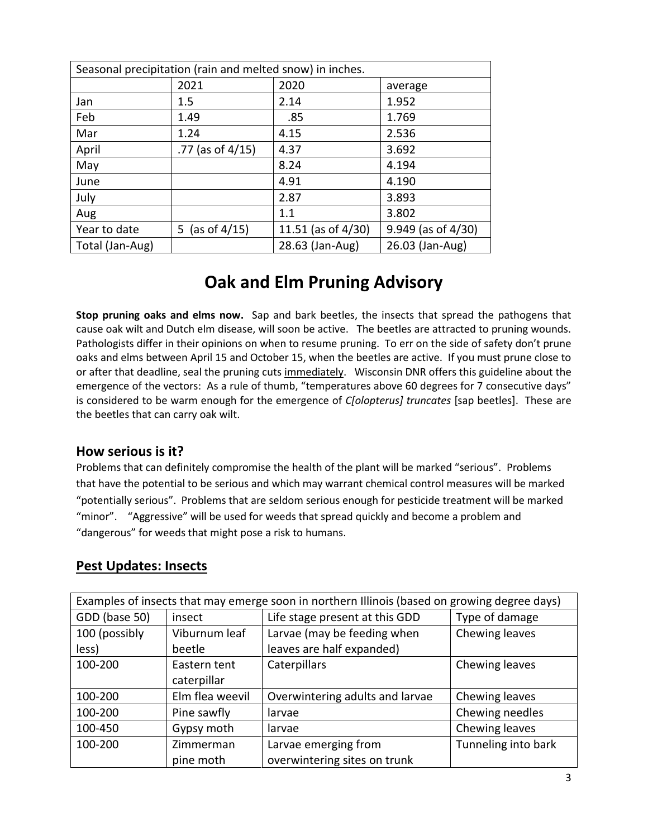| Seasonal precipitation (rain and melted snow) in inches. |                     |                       |                         |
|----------------------------------------------------------|---------------------|-----------------------|-------------------------|
|                                                          | 2021                | 2020                  | average                 |
| Jan                                                      | 1.5                 | 2.14                  | 1.952                   |
| Feb                                                      | 1.49                | .85                   | 1.769                   |
| Mar                                                      | 1.24                | 4.15                  | 2.536                   |
| April                                                    | .77 (as of $4/15$ ) | 4.37                  | 3.692                   |
| May                                                      |                     | 8.24                  | 4.194                   |
| June                                                     |                     | 4.91                  | 4.190                   |
| July                                                     |                     | 2.87                  | 3.893                   |
| Aug                                                      |                     | 1.1                   | 3.802                   |
| Year to date                                             | 5 (as of $4/15$ )   | 11.51 (as of $4/30$ ) | $9.949$ (as of $4/30$ ) |
| Total (Jan-Aug)                                          |                     | 28.63 (Jan-Aug)       | 26.03 (Jan-Aug)         |

# **Oak and Elm Pruning Advisory**

**Stop pruning oaks and elms now.** Sap and bark beetles, the insects that spread the pathogens that cause oak wilt and Dutch elm disease, will soon be active. The beetles are attracted to pruning wounds. Pathologists differ in their opinions on when to resume pruning. To err on the side of safety don't prune oaks and elms between April 15 and October 15, when the beetles are active. If you must prune close to or after that deadline, seal the pruning cuts immediately. Wisconsin DNR offers this guideline about the emergence of the vectors: As a rule of thumb, "temperatures above 60 degrees for 7 consecutive days" is considered to be warm enough for the emergence of *C[olopterus] truncates* [sap beetles]. These are the beetles that can carry oak wilt.

### **How serious is it?**

Problems that can definitely compromise the health of the plant will be marked "serious".Problems that have the potential to be serious and which may warrant chemical control measures will be marked "potentially serious". Problems that are seldom serious enough for pesticide treatment will be marked "minor". "Aggressive" will be used for weeds that spread quickly and become a problem and "dangerous" for weeds that might pose a risk to humans.

# **Pest Updates: Insects**

| Examples of insects that may emerge soon in northern Illinois (based on growing degree days) |                 |                                 |                     |
|----------------------------------------------------------------------------------------------|-----------------|---------------------------------|---------------------|
| GDD (base 50)                                                                                | insect          | Life stage present at this GDD  | Type of damage      |
| 100 (possibly                                                                                | Viburnum leaf   | Larvae (may be feeding when     | Chewing leaves      |
| less)                                                                                        | beetle          | leaves are half expanded)       |                     |
| 100-200                                                                                      | Eastern tent    | Caterpillars                    | Chewing leaves      |
|                                                                                              | caterpillar     |                                 |                     |
| 100-200                                                                                      | Elm flea weevil | Overwintering adults and larvae | Chewing leaves      |
| 100-200                                                                                      | Pine sawfly     | larvae                          | Chewing needles     |
| 100-450                                                                                      | Gypsy moth      | larvae                          | Chewing leaves      |
| 100-200                                                                                      | Zimmerman       | Larvae emerging from            | Tunneling into bark |
|                                                                                              | pine moth       | overwintering sites on trunk    |                     |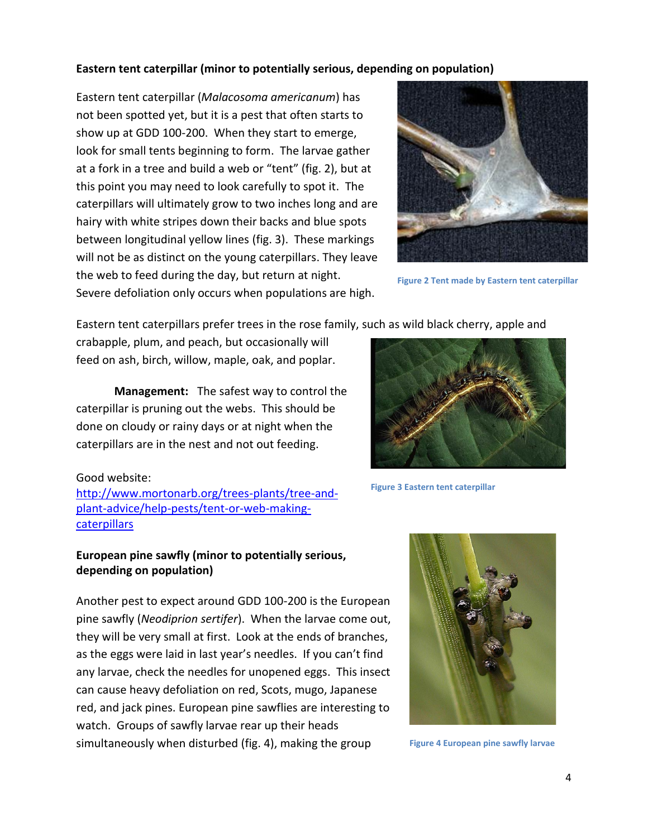#### **Eastern tent caterpillar (minor to potentially serious, depending on population)**

Eastern tent caterpillar (*Malacosoma americanum*) has not been spotted yet, but it is a pest that often starts to show up at GDD 100-200. When they start to emerge, look for small tents beginning to form. The larvae gather at a fork in a tree and build a web or "tent" (fig. 2), but at this point you may need to look carefully to spot it. The caterpillars will ultimately grow to two inches long and are hairy with white stripes down their backs and blue spots between longitudinal yellow lines (fig. 3). These markings will not be as distinct on the young caterpillars. They leave the web to feed during the day, but return at night. Severe defoliation only occurs when populations are high.



**Figure 2 Tent made by Eastern tent caterpillar**

Eastern tent caterpillars prefer trees in the rose family, such as wild black cherry, apple and

crabapple, plum, and peach, but occasionally will feed on ash, birch, willow, maple, oak, and poplar.

**Management:** The safest way to control the caterpillar is pruning out the webs. This should be done on cloudy or rainy days or at night when the caterpillars are in the nest and not out feeding.

#### Good website:

[http://www.mortonarb.org/trees-plants/tree-and](http://www.mortonarb.org/trees-plants/tree-and-plant-advice/help-pests/tent-or-web-making-caterpillars)[plant-advice/help-pests/tent-or-web-making](http://www.mortonarb.org/trees-plants/tree-and-plant-advice/help-pests/tent-or-web-making-caterpillars)[caterpillars](http://www.mortonarb.org/trees-plants/tree-and-plant-advice/help-pests/tent-or-web-making-caterpillars)

### **European pine sawfly (minor to potentially serious, depending on population)**

Another pest to expect around GDD 100-200 is the European pine sawfly (*Neodiprion sertifer*). When the larvae come out, they will be very small at first. Look at the ends of branches, as the eggs were laid in last year's needles. If you can't find any larvae, check the needles for unopened eggs. This insect can cause heavy defoliation on red, Scots, mugo, Japanese red, and jack pines. European pine sawflies are interesting to watch. Groups of sawfly larvae rear up their heads simultaneously when disturbed (fig. 4), making the group



**Figure 3 Eastern tent caterpillar**



**Figure 4 European pine sawfly larvae**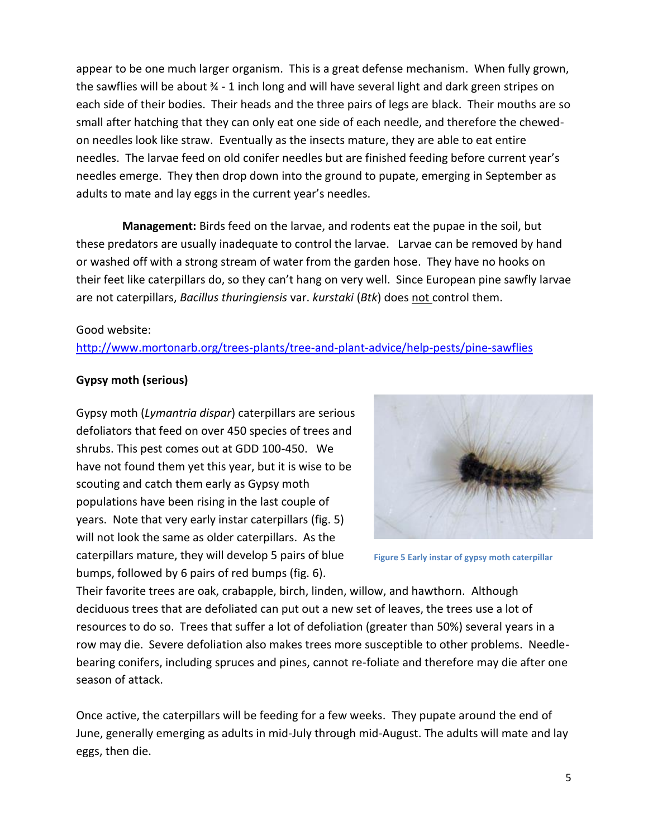appear to be one much larger organism. This is a great defense mechanism. When fully grown, the sawflies will be about 34 - 1 inch long and will have several light and dark green stripes on each side of their bodies. Their heads and the three pairs of legs are black. Their mouths are so small after hatching that they can only eat one side of each needle, and therefore the chewedon needles look like straw. Eventually as the insects mature, they are able to eat entire needles. The larvae feed on old conifer needles but are finished feeding before current year's needles emerge. They then drop down into the ground to pupate, emerging in September as adults to mate and lay eggs in the current year's needles.

 **Management:** Birds feed on the larvae, and rodents eat the pupae in the soil, but these predators are usually inadequate to control the larvae. Larvae can be removed by hand or washed off with a strong stream of water from the garden hose. They have no hooks on their feet like caterpillars do, so they can't hang on very well. Since European pine sawfly larvae are not caterpillars, *Bacillus thuringiensis* var. *kurstaki* (*Btk*) does not control them.

#### Good website:

<http://www.mortonarb.org/trees-plants/tree-and-plant-advice/help-pests/pine-sawflies>

#### **Gypsy moth (serious)**

Gypsy moth (*Lymantria dispar*) caterpillars are serious defoliators that feed on over 450 species of trees and shrubs. This pest comes out at GDD 100-450. We have not found them yet this year, but it is wise to be scouting and catch them early as Gypsy moth populations have been rising in the last couple of years. Note that very early instar caterpillars (fig. 5) will not look the same as older caterpillars. As the caterpillars mature, they will develop 5 pairs of blue bumps, followed by 6 pairs of red bumps (fig. 6).



**Figure 5 Early instar of gypsy moth caterpillar**

Their favorite trees are oak, crabapple, birch, linden, willow, and hawthorn. Although deciduous trees that are defoliated can put out a new set of leaves, the trees use a lot of resources to do so. Trees that suffer a lot of defoliation (greater than 50%) several years in a row may die. Severe defoliation also makes trees more susceptible to other problems. Needlebearing conifers, including spruces and pines, cannot re-foliate and therefore may die after one season of attack.

Once active, the caterpillars will be feeding for a few weeks. They pupate around the end of June, generally emerging as adults in mid-July through mid-August. The adults will mate and lay eggs, then die.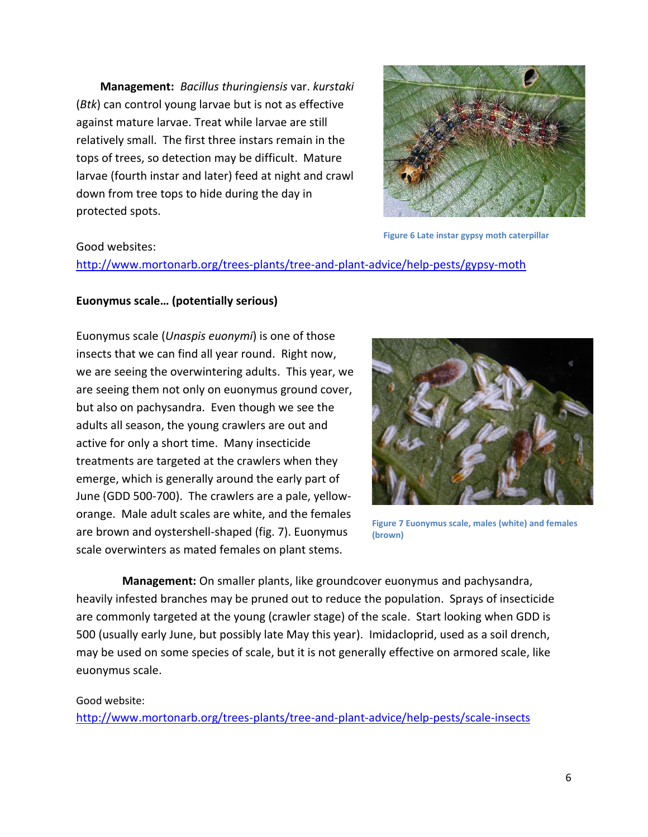**Management:** *Bacillus thuringiensis* var. *kurstaki* (*Btk*) can control young larvae but is not as effective against mature larvae. Treat while larvae are still relatively small. The first three instars remain in the tops of trees, so detection may be difficult. Mature larvae (fourth instar and later) feed at night and crawl down from tree tops to hide during the day in protected spots.



**Figure 6 Late instar gypsy moth caterpillar**

#### Good websites:

<http://www.mortonarb.org/trees-plants/tree-and-plant-advice/help-pests/gypsy-moth>

#### **Euonymus scale… (potentially serious)**

Euonymus scale (*Unaspis euonymi*) is one of those insects that we can find all year round. Right now, we are seeing the overwintering adults. This year, we are seeing them not only on euonymus ground cover, but also on pachysandra. Even though we see the adults all season, the young crawlers are out and active for only a short time. Many insecticide treatments are targeted at the crawlers when they emerge, which is generally around the early part of June (GDD 500-700). The crawlers are a pale, yelloworange. Male adult scales are white, and the females are brown and oystershell-shaped (fig. 7). Euonymus scale overwinters as mated females on plant stems.



**Figure 7 Euonymus scale, males (white) and females (brown)**

 **Management:** On smaller plants, like groundcover euonymus and pachysandra, heavily infested branches may be pruned out to reduce the population. Sprays of insecticide are commonly targeted at the young (crawler stage) of the scale. Start looking when GDD is 500 (usually early June, but possibly late May this year). Imidacloprid, used as a soil drench, may be used on some species of scale, but it is not generally effective on armored scale, like euonymus scale.

#### Good website:

<http://www.mortonarb.org/trees-plants/tree-and-plant-advice/help-pests/scale-insects>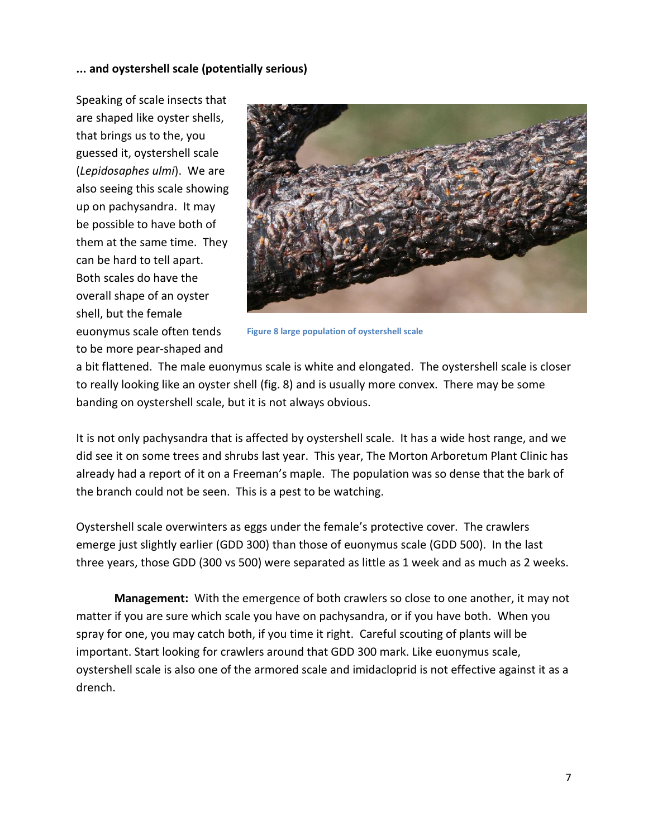#### **... and oystershell scale (potentially serious)**

Speaking of scale insects that are shaped like oyster shells, that brings us to the, you guessed it, oystershell scale (*Lepidosaphes ulmi*). We are also seeing this scale showing up on pachysandra. It may be possible to have both of them at the same time. They can be hard to tell apart. Both scales do have the overall shape of an oyster shell, but the female euonymus scale often tends to be more pear-shaped and



**Figure 8 large population of oystershell scale**

a bit flattened. The male euonymus scale is white and elongated. The oystershell scale is closer to really looking like an oyster shell (fig. 8) and is usually more convex. There may be some banding on oystershell scale, but it is not always obvious.

It is not only pachysandra that is affected by oystershell scale. It has a wide host range, and we did see it on some trees and shrubs last year. This year, The Morton Arboretum Plant Clinic has already had a report of it on a Freeman's maple. The population was so dense that the bark of the branch could not be seen. This is a pest to be watching.

Oystershell scale overwinters as eggs under the female's protective cover. The crawlers emerge just slightly earlier (GDD 300) than those of euonymus scale (GDD 500). In the last three years, those GDD (300 vs 500) were separated as little as 1 week and as much as 2 weeks.

**Management:** With the emergence of both crawlers so close to one another, it may not matter if you are sure which scale you have on pachysandra, or if you have both. When you spray for one, you may catch both, if you time it right. Careful scouting of plants will be important. Start looking for crawlers around that GDD 300 mark. Like euonymus scale, oystershell scale is also one of the armored scale and imidacloprid is not effective against it as a drench.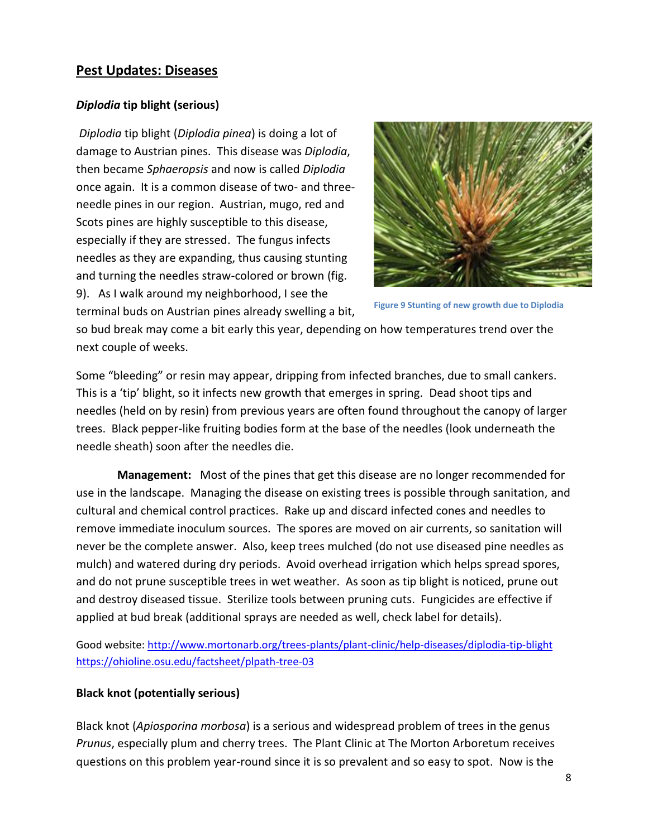# **Pest Updates: Diseases**

#### *Diplodia* **tip blight (serious)**

*Diplodia* tip blight (*Diplodia pinea*) is doing a lot of damage to Austrian pines. This disease was *Diplodia*, then became *Sphaeropsis* and now is called *Diplodia* once again. It is a common disease of two- and threeneedle pines in our region. Austrian, mugo, red and Scots pines are highly susceptible to this disease, especially if they are stressed. The fungus infects needles as they are expanding, thus causing stunting and turning the needles straw-colored or brown (fig. 9). As I walk around my neighborhood, I see the terminal buds on Austrian pines already swelling a bit,



**Figure 9 Stunting of new growth due to Diplodia**

so bud break may come a bit early this year, depending on how temperatures trend over the next couple of weeks.

Some "bleeding" or resin may appear, dripping from infected branches, due to small cankers. This is a 'tip' blight, so it infects new growth that emerges in spring. Dead shoot tips and needles (held on by resin) from previous years are often found throughout the canopy of larger trees. Black pepper-like fruiting bodies form at the base of the needles (look underneath the needle sheath) soon after the needles die.

**Management:** Most of the pines that get this disease are no longer recommended for use in the landscape. Managing the disease on existing trees is possible through sanitation, and cultural and chemical control practices. Rake up and discard infected cones and needles to remove immediate inoculum sources. The spores are moved on air currents, so sanitation will never be the complete answer. Also, keep trees mulched (do not use diseased pine needles as mulch) and watered during dry periods. Avoid overhead irrigation which helps spread spores, and do not prune susceptible trees in wet weather. As soon as tip blight is noticed, prune out and destroy diseased tissue. Sterilize tools between pruning cuts. Fungicides are effective if applied at bud break (additional sprays are needed as well, check label for details).

Good website:<http://www.mortonarb.org/trees-plants/plant-clinic/help-diseases/diplodia-tip-blight> <https://ohioline.osu.edu/factsheet/plpath-tree-03>

#### **Black knot (potentially serious)**

Black knot (*Apiosporina morbosa*) is a serious and widespread problem of trees in the genus *Prunus*, especially plum and cherry trees. The Plant Clinic at The Morton Arboretum receives questions on this problem year-round since it is so prevalent and so easy to spot. Now is the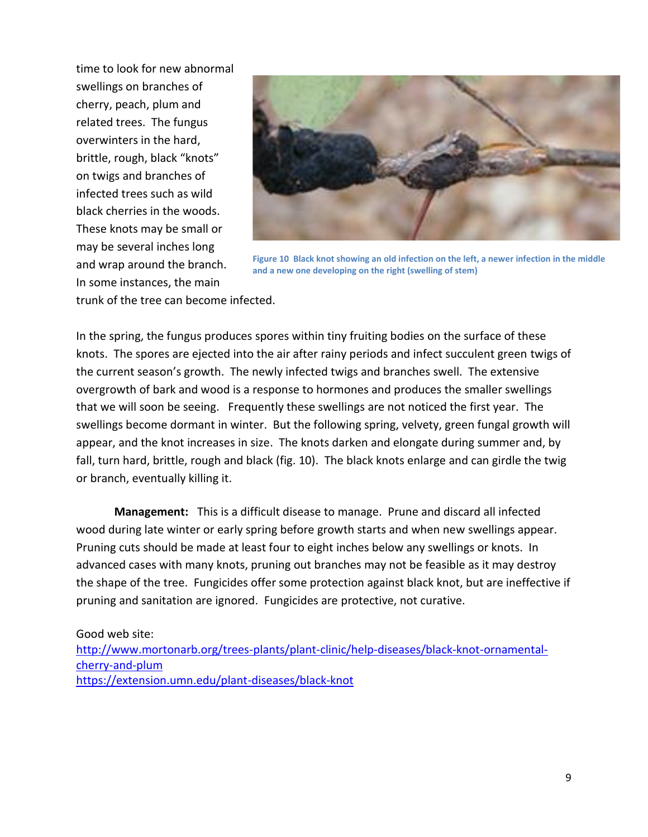time to look for new abnormal swellings on branches of cherry, peach, plum and related trees. The fungus overwinters in the hard, brittle, rough, black "knots" on twigs and branches of infected trees such as wild black cherries in the woods. These knots may be small or may be several inches long and wrap around the branch. In some instances, the main



**Figure 10 Black knot showing an old infection on the left, a newer infection in the middle and a new one developing on the right (swelling of stem)**

trunk of the tree can become infected.

In the spring, the fungus produces spores within tiny fruiting bodies on the surface of these knots. The spores are ejected into the air after rainy periods and infect succulent green twigs of the current season's growth. The newly infected twigs and branches swell. The extensive overgrowth of bark and wood is a response to hormones and produces the smaller swellings that we will soon be seeing. Frequently these swellings are not noticed the first year. The swellings become dormant in winter. But the following spring, velvety, green fungal growth will appear, and the knot increases in size. The knots darken and elongate during summer and, by fall, turn hard, brittle, rough and black (fig. 10). The black knots enlarge and can girdle the twig or branch, eventually killing it.

**Management:** This is a difficult disease to manage. Prune and discard all infected wood during late winter or early spring before growth starts and when new swellings appear. Pruning cuts should be made at least four to eight inches below any swellings or knots. In advanced cases with many knots, pruning out branches may not be feasible as it may destroy the shape of the tree. Fungicides offer some protection against black knot, but are ineffective if pruning and sanitation are ignored. Fungicides are protective, not curative.

Good web site:

[http://www.mortonarb.org/trees-plants/plant-clinic/help-diseases/black-knot-ornamental](http://www.mortonarb.org/trees-plants/plant-clinic/help-diseases/black-knot-ornamental-cherry-and-plum)[cherry-and-plum](http://www.mortonarb.org/trees-plants/plant-clinic/help-diseases/black-knot-ornamental-cherry-and-plum) <https://extension.umn.edu/plant-diseases/black-knot>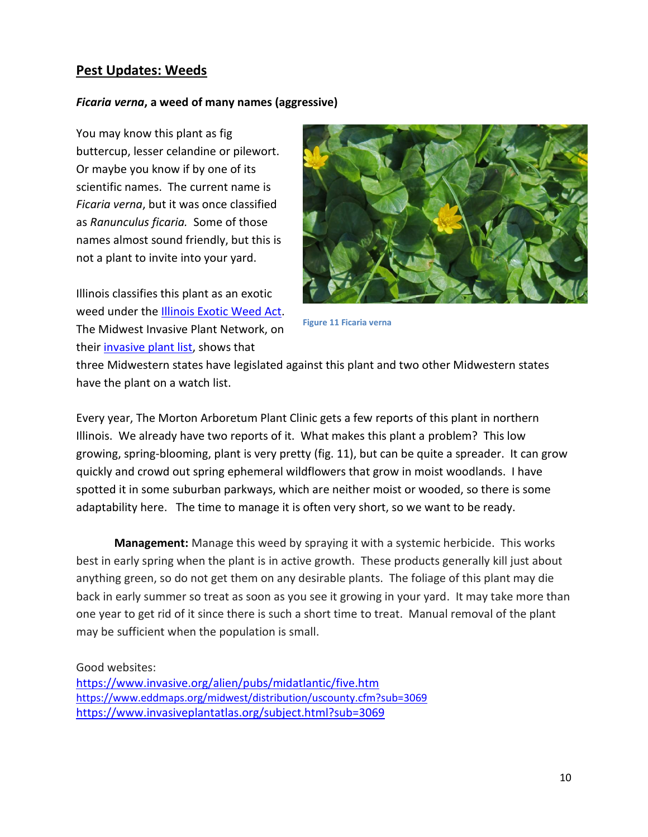# **Pest Updates: Weeds**

#### *Ficaria verna***, a weed of many names (aggressive)**

You may know this plant as fig buttercup, lesser celandine or pilewort. Or maybe you know if by one of its scientific names. The current name is *Ficaria verna*, but it was once classified as *Ranunculus ficaria.* Some of those names almost sound friendly, but this is not a plant to invite into your yard.

Illinois classifies this plant as an exotic weed under the **Illinois Exotic Weed Act**. The Midwest Invasive Plant Network, on their [invasive plant list,](https://www.mipn.org/plantlist/) shows that



**Figure 11 Ficaria verna**

three Midwestern states have legislated against this plant and two other Midwestern states have the plant on a watch list.

Every year, The Morton Arboretum Plant Clinic gets a few reports of this plant in northern Illinois. We already have two reports of it. What makes this plant a problem? This low growing, spring-blooming, plant is very pretty (fig. 11), but can be quite a spreader. It can grow quickly and crowd out spring ephemeral wildflowers that grow in moist woodlands. I have spotted it in some suburban parkways, which are neither moist or wooded, so there is some adaptability here. The time to manage it is often very short, so we want to be ready.

**Management:** Manage this weed by spraying it with a systemic herbicide. This works best in early spring when the plant is in active growth. These products generally kill just about anything green, so do not get them on any desirable plants. The foliage of this plant may die back in early summer so treat as soon as you see it growing in your yard. It may take more than one year to get rid of it since there is such a short time to treat. Manual removal of the plant may be sufficient when the population is small.

Good websites:

<https://www.invasive.org/alien/pubs/midatlantic/five.htm> <https://www.eddmaps.org/midwest/distribution/uscounty.cfm?sub=3069> <https://www.invasiveplantatlas.org/subject.html?sub=3069>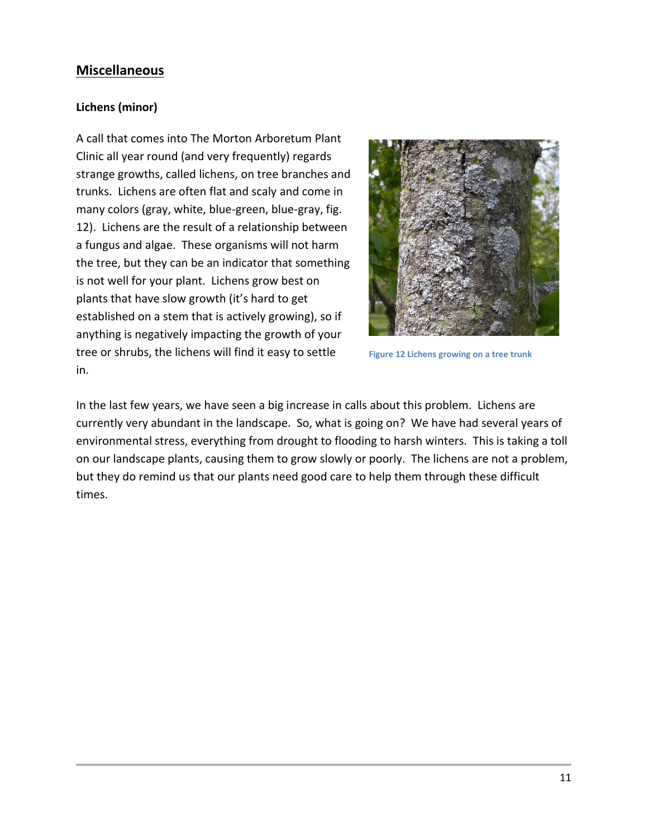# **Miscellaneous**

# **Lichens (minor)**

A call that comes into The Morton Arboretum Plant Clinic all year round (and very frequently) regards strange growths, called lichens, on tree branches and trunks. Lichens are often flat and scaly and come in many colors (gray, white, blue-green, blue-gray, fig. 12). Lichens are the result of a relationship between a fungus and algae. These organisms will not harm the tree, but they can be an indicator that something is not well for your plant. Lichens grow best on plants that have slow growth (it's hard to get established on a stem that is actively growing), so if anything is negatively impacting the growth of your tree or shrubs, the lichens will find it easy to settle in.



**Figure 12 Lichens growing on a tree trunk**

In the last few years, we have seen a big increase in calls about this problem. Lichens are currently very abundant in the landscape. So, what is going on? We have had several years of environmental stress, everything from drought to flooding to harsh winters. This is taking a toll on our landscape plants, causing them to grow slowly or poorly. The lichens are not a problem, but they do remind us that our plants need good care to help them through these difficult times.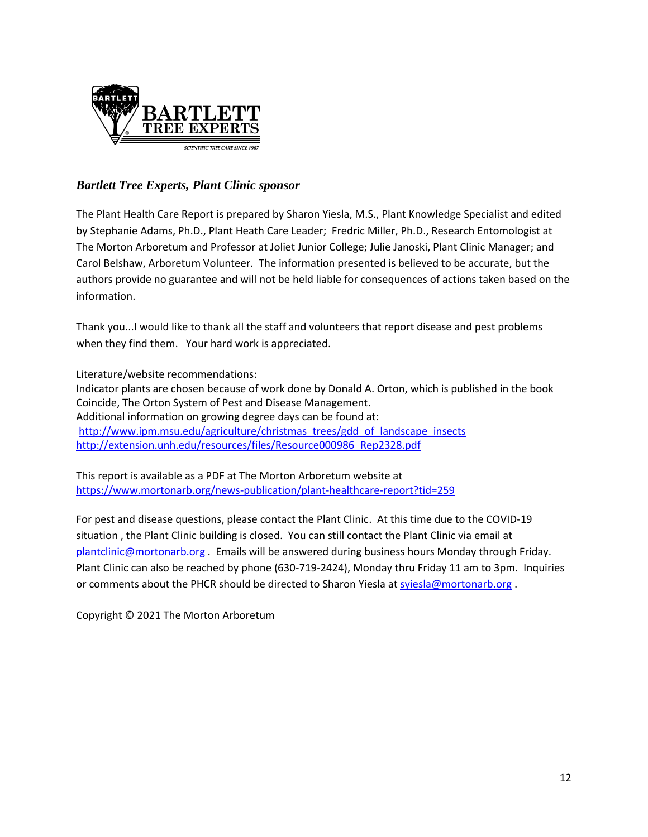

# *Bartlett Tree Experts, Plant Clinic sponsor*

The Plant Health Care Report is prepared by Sharon Yiesla, M.S., Plant Knowledge Specialist and edited by Stephanie Adams, Ph.D., Plant Heath Care Leader; Fredric Miller, Ph.D., Research Entomologist at The Morton Arboretum and Professor at Joliet Junior College; Julie Janoski, Plant Clinic Manager; and Carol Belshaw, Arboretum Volunteer. The information presented is believed to be accurate, but the authors provide no guarantee and will not be held liable for consequences of actions taken based on the information.

Thank you...I would like to thank all the staff and volunteers that report disease and pest problems when they find them. Your hard work is appreciated.

Literature/website recommendations: Indicator plants are chosen because of work done by Donald A. Orton, which is published in the book Coincide, The Orton System of Pest and Disease Management. Additional information on growing degree days can be found at: [http://www.ipm.msu.edu/agriculture/christmas\\_trees/gdd\\_of\\_landscape\\_insects](http://www.ipm.msu.edu/agriculture/christmas_trees/gdd_of_landscape_insects) [http://extension.unh.edu/resources/files/Resource000986\\_Rep2328.pdf](http://extension.unh.edu/resources/files/Resource000986_Rep2328.pdf)

This report is available as a PDF at The Morton Arboretum website at <https://www.mortonarb.org/news-publication/plant-healthcare-report?tid=259>

For pest and disease questions, please contact the Plant Clinic. At this time due to the COVID-19 situation , the Plant Clinic building is closed. You can still contact the Plant Clinic via email at [plantclinic@mortonarb.org](mailto:plantclinic@mortonarb.org) . Emails will be answered during business hours Monday through Friday. Plant Clinic can also be reached by phone (630-719-2424), Monday thru Friday 11 am to 3pm. Inquiries or comments about the PHCR should be directed to Sharon Yiesla at [syiesla@mortonarb.org](mailto:syiesla@mortonarb.org).

Copyright © 2021 The Morton Arboretum